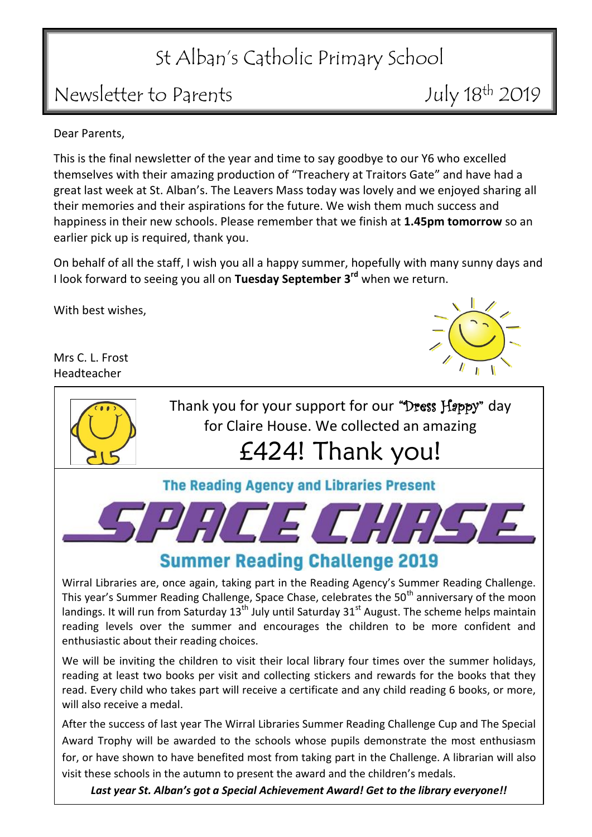## St Alban's Catholic Primary School

## Newsletter to Parents July 18<sup>th</sup> 2019

Dear Parents,

This is the final newsletter of the year and time to say goodbye to our Y6 who excelled themselves with their amazing production of "Treachery at Traitors Gate" and have had a great last week at St. Alban's. The Leavers Mass today was lovely and we enjoyed sharing all their memories and their aspirations for the future. We wish them much success and happiness in their new schools. Please remember that we finish at **1.45pm tomorrow** so an earlier pick up is required, thank you.

On behalf of all the staff, I wish you all a happy summer, hopefully with many sunny days and I look forward to seeing you all on **Tuesday September 3 rd** when we return.

With best wishes,

Mrs C. L. Frost Headteacher



*Last year St. Alban's got a Special Achievement Award! Get to the library everyone!!*